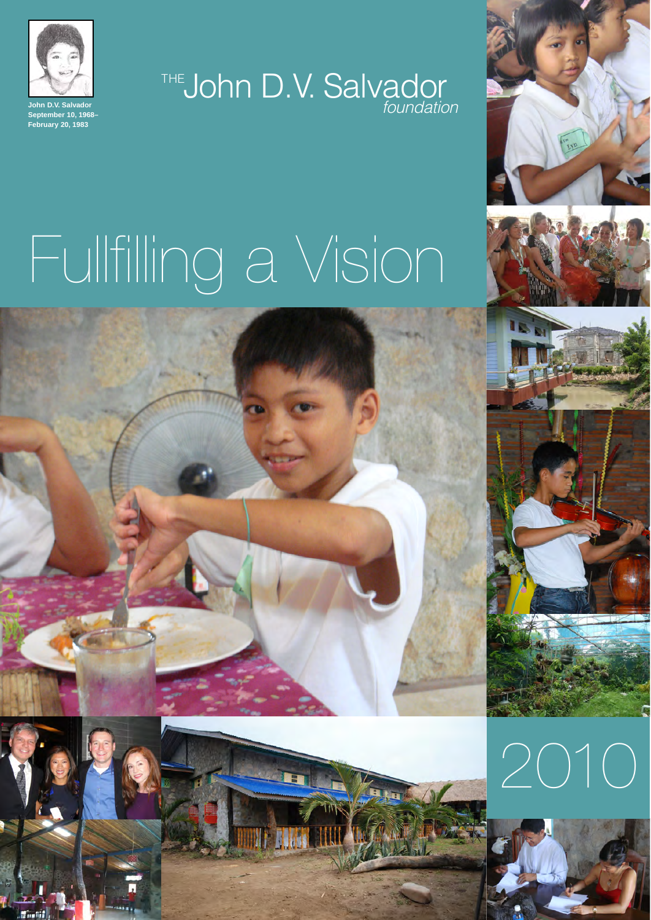

THE**John D.V. Salvador** *foundation*



# Fullfilling a Vision

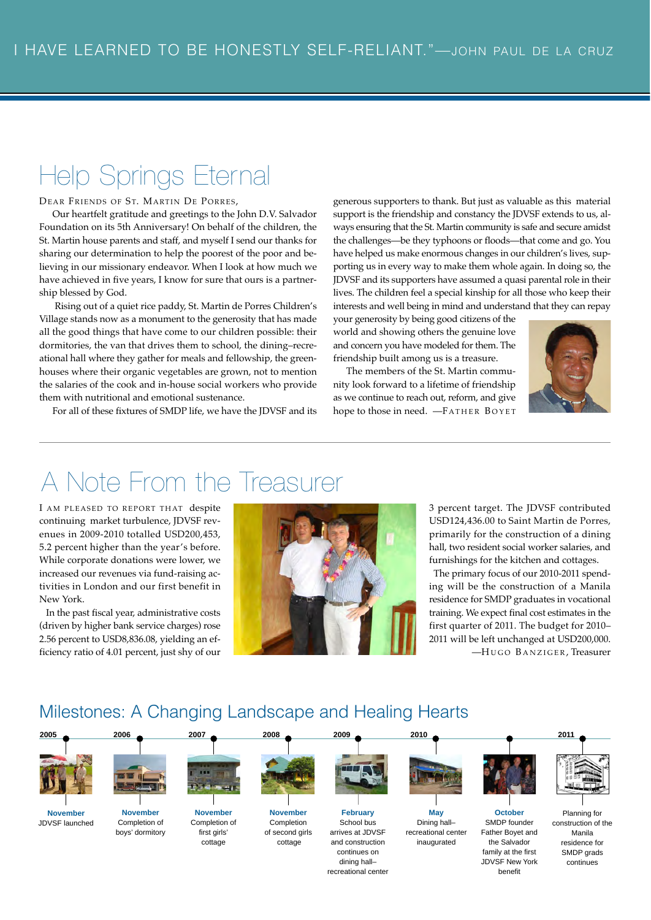## Help Springs Eternal

DEAR FRIENDS OF ST. MARTIN DE PORRES,

Our heartfelt gratitude and greetings to the John D.V. Salvador Foundation on its 5th Anniversary! On behalf of the children, the St. Martin house parents and staff, and myself I send our thanks for sharing our determination to help the poorest of the poor and believing in our missionary endeavor. When I look at how much we have achieved in five years, I know for sure that ours is a partnership blessed by God.

Rising out of a quiet rice paddy, St. Martin de Porres Children's Village stands now as a monument to the generosity that has made all the good things that have come to our children possible: their dormitories, the van that drives them to school, the dining–recreational hall where they gather for meals and fellowship, the greenhouses where their organic vegetables are grown, not to mention the salaries of the cook and in-house social workers who provide them with nutritional and emotional sustenance.

For all of these fixtures of SMDP life, we have the JDVSF and its

generous supporters to thank. But just as valuable as this material support is the friendship and constancy the JDVSF extends to us, always ensuring that the St. Martin community is safe and secure amidst the challenges—be they typhoons or floods—that come and go. You have helped us make enormous changes in our children's lives, supporting us in every way to make them whole again. In doing so, the JDVSF and its supporters have assumed a quasi parental role in their lives. The children feel a special kinship for all those who keep their interests and well being in mind and understand that they can repay

your generosity by being good citizens of the world and showing others the genuine love and concern you have modeled for them. The friendship built among us is a treasure.

The members of the St. Martin community look forward to a lifetime of friendship as we continue to reach out, reform, and give hope to those in need. -FATHER BOYET



## A Note From the Treasurer

I AM PLEASED TO REPORT THAT despite continuing market turbulence, JDVSF revenues in 2009-2010 totalled USD200,453, 5.2 percent higher than the year's before. While corporate donations were lower, we increased our revenues via fund-raising activities in London and our first benefit in New York.

In the past fiscal year, administrative costs (driven by higher bank service charges) rose 2.56 percent to USD8,836.08, yielding an efficiency ratio of 4.01 percent, just shy of our



3 percent target. The JDVSF contributed USD124,436.00 to Saint Martin de Porres, primarily for the construction of a dining hall, two resident social worker salaries, and furnishings for the kitchen and cottages.

The primary focus of our 2010-2011 spending will be the construction of a Manila residence for SMDP graduates in vocational training. We expect final cost estimates in the first quarter of 2011. The budget for 2010– 2011 will be left unchanged at USD200,000. —H UGO B ANZIGER , Treasurer

### Milestones: A Changing Landscape and Healing Hearts

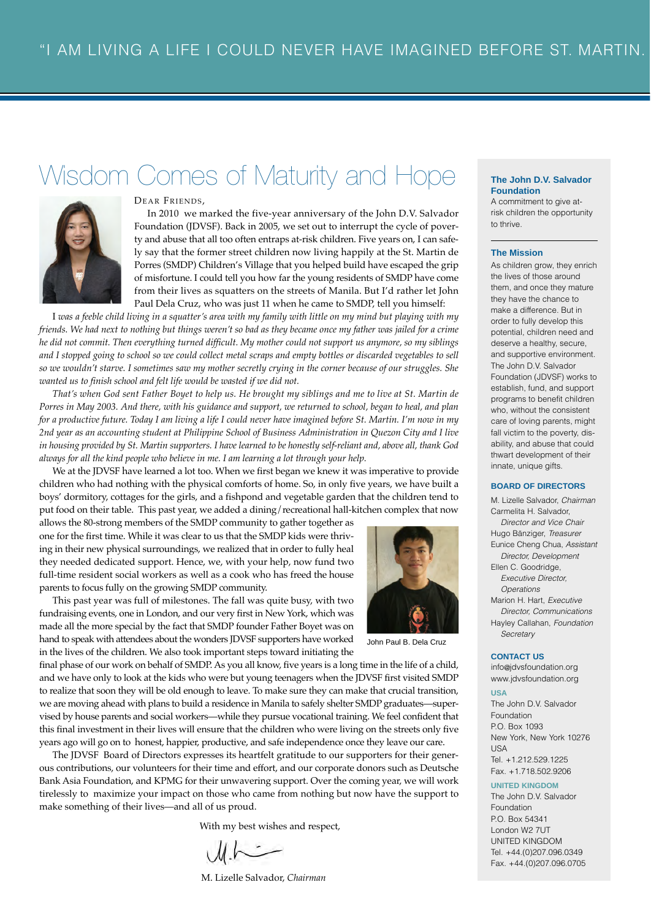## Wisdom Comes of Maturity and Hope **The John D.V. Salvador**



DEAR FRIENDS,

In 2010 we marked the five-year anniversary of the John D.V. Salvador Foundation (JDVSF). Back in 2005, we set out to interrupt the cycle of poverty and abuse that all too often entraps at-risk children. Five years on, I can safely say that the former street children now living happily at the St. Martin de Porres (SMDP) Children's Village that you helped build have escaped the grip of misfortune. I could tell you how far the young residents of SMDP have come from their lives as squatters on the streets of Manila. But I'd rather let John Paul Dela Cruz, who was just 11 when he came to SMDP, tell you himself:

I *was a feeble child living in a squatter's area with my family with little on my mind but playing with my friends. We had next to nothing but things weren't so bad as they became once my father was jailed for a crime he did not commit. Then everything turned difficult. My mother could not support us anymore, so my siblings and I stopped going to school so we could collect metal scraps and empty bottles or discarded vegetables to sell so we wouldn't starve. I sometimes saw my mother secretly crying in the corner because of our struggles. She wanted us to finish school and felt life would be wasted if we did not.*

*That's when God sent Father Boyet to help us. He brought my siblings and me to live at St. Martin de Porres in May 2003. And there, with his guidance and support, we returned to school, began to heal, and plan for a productive future. Today I am living a life I could never have imagined before St. Martin. I'm now in my 2nd year as an accounting student at Philippine School of Business Administration in Quezon City and I live in housing provided by St. Martin supporters. I have learned to be honestly self-reliant and, above all, thank God always for all the kind people who believe in me. I am learning a lot through your help.*

We at the JDVSF have learned a lot too. When we first began we knew it was imperative to provide children who had nothing with the physical comforts of home. So, in only five years, we have built a boys' dormitory, cottages for the girls, and a fishpond and vegetable garden that the children tend to put food on their table. This past year, we added a dining/recreational hall-kitchen complex that now

allows the 80-strong members of the SMDP community to gather together as one for the first time. While it was clear to us that the SMDP kids were thriving in their new physical surroundings, we realized that in order to fully heal they needed dedicated support. Hence, we, with your help, now fund two full-time resident social workers as well as a cook who has freed the house parents to focus fully on the growing SMDP community.

This past year was full of milestones. The fall was quite busy, with two fundraising events, one in London, and our very first in New York, which was made all the more special by the fact that SMDP founder Father Boyet was on hand to speak with attendees about the wonders JDVSF supporters have worked in the lives of the children. We also took important steps toward initiating the



John Paul B. Dela Cruz

final phase of our work on behalf of SMDP. As you all know, five years is a long time in the life of a child, and we have only to look at the kids who were but young teenagers when the JDVSF first visited SMDP to realize that soon they will be old enough to leave. To make sure they can make that crucial transition, we are moving ahead with plans to build a residence in Manila to safely shelter SMDP graduates—supervised by house parents and social workers—while they pursue vocational training. We feel confident that this final investment in their lives will ensure that the children who were living on the streets only five years ago will go on to honest, happier, productive, and safe independence once they leave our care.

The JDVSF Board of Directors expresses its heartfelt gratitude to our supporters for their generous contributions, our volunteers for their time and effort, and our corporate donors such as Deutsche Bank Asia Foundation, and KPMG for their unwavering support. Over the coming year, we will work tirelessly to maximize your impact on those who came from nothing but now have the support to make something of their lives—and all of us proud.

With my best wishes and respect,

 $ML \sim$ 

M. Lizelle Salvador, *Chairman*

## **Foundation**

A commitment to give atrisk children the opportunity to thrive.

#### **The Mission**

As children grow, they enrich the lives of those around them, and once they mature they have the chance to make a difference. But in order to fully develop this potential, children need and deserve a healthy, secure, and supportive environment. The John D.V. Salvador Foundation (JDVSF) works to establish, fund, and support programs to benefit children who, without the consistent care of loving parents, might fall victim to the poverty, disability, and abuse that could thwart development of their innate, unique gifts.

#### **BOARD OF DIRECTORS**

M. Lizelle Salvador, *Chairman* Carmelita H. Salvador, *Director and Vice Chair* Hugo Bänziger, *Treasurer* Eunice Cheng Chua, *Assistant Director, Development* Ellen C. Goodridge, *Executive Director, Operations* Marion H. Hart, *Executive Director, Communications* Hayley Callahan, *Foundation Secretary*

#### **CONTACT US**

info@jdvsfoundation.org www.jdvsfoundation.org

#### **USA**

The John D.V. Salvador Foundation P.O. Box 1093 New York, New York 10276 USA Tel. +1.212.529.1225 Fax. +1.718.502.9206

#### **UNITED KINGDOM**

The John D.V. Salvador Foundation P.O. Box 54341 London W2 7UT UNITED KINGDOM Tel. +44.(0)207.096.0349 Fax. +44.(0)207.096.0705